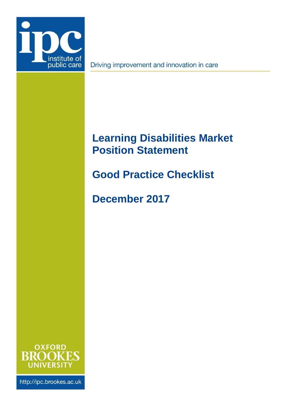

Driving improvement and innovation in care

# **Learning Disabilities Market Position Statement**

**Good Practice Checklist**

**December 2017**



http://ipc.brookes.ac.uk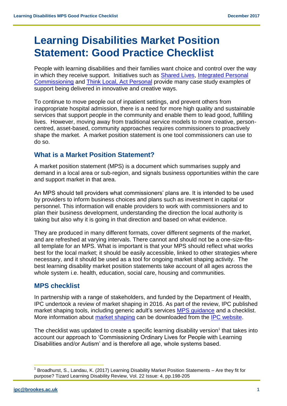# **Learning Disabilities Market Position Statement: Good Practice Checklist**

People with learning disabilities and their families want choice and control over the way in which they receive support. Initiatives such as [Shared Lives,](https://sharedlivesplus.org.uk/) [Integrated Personal](https://www.england.nhs.uk/ipc/)  [Commissioning](https://www.england.nhs.uk/ipc/) and [Think Local, Act Personal](https://www.thinklocalactpersonal.org.uk/) provide many case study examples of support being delivered in innovative and creative ways.

To continue to move people out of inpatient settings, and prevent others from inappropriate hospital admission, there is a need for more high quality and sustainable services that support people in the community and enable them to lead good, fulfilling lives. However, moving away from traditional service models to more creative, personcentred, asset-based, community approaches requires commissioners to proactively shape the market. A market position statement is one tool commissioners can use to do so.

#### **What is a Market Position Statement?**

A market position statement (MPS) is a document which summarises supply and demand in a local area or sub-region, and signals business opportunities within the care and support market in that area.

An MPS should tell providers what commissioners' plans are. It is intended to be used by providers to inform business choices and plans such as investment in capital or personnel. This information will enable providers to work with commissioners and to plan their business development, understanding the direction the local authority is taking but also why it is going in that direction and based on what evidence.

They are produced in many different formats, cover different segments of the market, and are refreshed at varying intervals. There cannot and should not be a one-size-fitsall template for an MPS. What is important is that your MPS should reflect what works best for the local market; it should be easily accessible, linked to other strategies where necessary, and it should be used as a tool for ongoing market shaping activity. The best learning disability market position statements take account of all ages across the whole system i.e. health, education, social care, housing and communities.

### **MPS checklist**

In partnership with a range of stakeholders, and funded by the Department of Health, IPC undertook a review of market shaping in 2016. As part of the review, IPC published market shaping tools, including generic adult's services [MPS guidance](http://ipc.brookes.ac.uk/what-we-do/market-shaping/market-position-statements.html) and a checklist. More information about [market shaping](http://ipc.brookes.ac.uk/what-we-do/market-shaping.html) can be downloaded from the [IPC website.](http://ipc.brookes.ac.uk/what-we-do/market-shaping.html)

The checklist was updated to create a specific learning disability version<sup>1</sup> that takes into account our approach to 'Commissioning Ordinary Lives for People with Learning Disabilities and/or Autism' and is therefore all age, whole systems based.

 $\overline{a}$ 

<sup>&</sup>lt;sup>1</sup> Broadhurst, S., Landau, K. (2017) Learning Disability Market Position Statements – Are they fit for purpose? Tizard Learning Disability Review, Vol. 22 Issue: 4, pp.198-205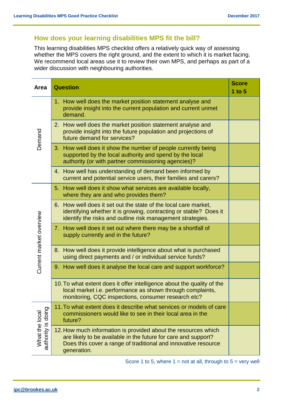## **How does your learning disabilities MPS fit the bill?**

This learning disabilities MPS checklist offers a relatively quick way of assessing whether the MPS covers the right ground, and the extent to which it is market facing. We recommend local areas use it to review their own MPS, and perhaps as part of a wider discussion with neighbouring authorities.

| Area                                                        | <b>Question</b>                                                                                                                                                                                                   | <b>Score</b><br>1 to $5$ |
|-------------------------------------------------------------|-------------------------------------------------------------------------------------------------------------------------------------------------------------------------------------------------------------------|--------------------------|
| Demand                                                      | 1. How well does the market position statement analyse and<br>provide insight into the current population and current unmet<br>demand.                                                                            |                          |
|                                                             | 2. How well does the market position statement analyse and<br>provide insight into the future population and projections of<br>future demand for services?                                                        |                          |
|                                                             | 3. How well does it show the number of people currently being<br>supported by the local authority and spend by the local<br>authority (or with partner commissioning agencies)?                                   |                          |
|                                                             | 4. How well has understanding of demand been informed by<br>current and potential service users, their families and carers?                                                                                       |                          |
| Current market overview                                     | 5. How well does it show what services are available locally,<br>where they are and who provides them?                                                                                                            |                          |
|                                                             | 6. How well does it set out the state of the local care market.<br>identifying whether it is growing, contracting or stable? Does it<br>identify the risks and outline risk management strategies.                |                          |
|                                                             | 7. How well does it set out where there may be a shortfall of<br>supply currently and in the future?                                                                                                              |                          |
|                                                             | 8. How well does it provide intelligence about what is purchased<br>using direct payments and / or individual service funds?                                                                                      |                          |
|                                                             | 9. How well does it analyse the local care and support workforce?                                                                                                                                                 |                          |
|                                                             | 10. To what extent does it offer intelligence about the quality of the<br>local market i.e. performance as shown through complaints,<br>monitoring, CQC inspections, consumer research etc?                       |                          |
| doing<br>What the local<br>$\overline{\omega}$<br>authority | 11. To what extent does it describe what services or models of care<br>commissioners would like to see in their local area in the<br>future?                                                                      |                          |
|                                                             | 12. How much information is provided about the resources which<br>are likely to be available in the future for care and support?<br>Does this cover a range of traditional and innovative resource<br>generation. |                          |

Score 1 to 5, where  $1 = not$  at all, through to  $5 = very$  well